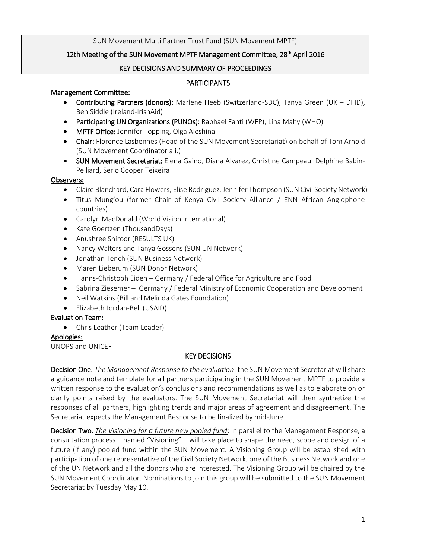## SUN Movement Multi Partner Trust Fund (SUN Movement MPTF)

# 12th Meeting of the SUN Movement MPTF Management Committee, 28<sup>th</sup> April 2016

## KEY DECISIONS AND SUMMARY OF PROCEEDINGS

## **PARTICIPANTS**

## Management Committee:

- Contributing Partners (donors): Marlene Heeb (Switzerland-SDC), Tanya Green (UK DFID), Ben Siddle (Ireland-IrishAid)
- Participating UN Organizations (PUNOs): Raphael Fanti (WFP), Lina Mahy (WHO)
- MPTF Office: Jennifer Topping, Olga Aleshina
- Chair: Florence Lasbennes (Head of the SUN Movement Secretariat) on behalf of Tom Arnold (SUN Movement Coordinator a.i.)
- **SUN Movement Secretariat:** Elena Gaino, Diana Alvarez, Christine Campeau, Delphine Babin-Pelliard, Serio Cooper Teixeira

## Observers:

- Claire Blanchard, Cara Flowers, Elise Rodriguez, Jennifer Thompson (SUN Civil Society Network)
- Titus Mung'ou (former Chair of Kenya Civil Society Alliance / ENN African Anglophone countries)
- Carolyn MacDonald (World Vision International)
- Kate Goertzen (ThousandDays)
- Anushree Shiroor (RESULTS UK)
- Nancy Walters and Tanya Gossens (SUN UN Network)
- Jonathan Tench (SUN Business Network)
- Maren Lieberum (SUN Donor Network)
- Hanns-Christoph Eiden Germany / Federal Office for Agriculture and Food
- Sabrina Ziesemer Germany / Federal Ministry of Economic Cooperation and Development
- Neil Watkins (Bill and Melinda Gates Foundation)
- Elizabeth Jordan-Bell (USAID)

# Evaluation Team:

Chris Leather (Team Leader)

# Apologies:

UNOPS and UNICEF

# KEY DECISIONS

Decision One. *The Management Response to the evaluation*: the SUN Movement Secretariat will share a guidance note and template for all partners participating in the SUN Movement MPTF to provide a written response to the evaluation's conclusions and recommendations as well as to elaborate on or clarify points raised by the evaluators. The SUN Movement Secretariat will then synthetize the responses of all partners, highlighting trends and major areas of agreement and disagreement. The Secretariat expects the Management Response to be finalized by mid-June.

Decision Two. *The Visioning for a future new pooled fund*: in parallel to the Management Response, a consultation process – named "Visioning" – will take place to shape the need, scope and design of a future (if any) pooled fund within the SUN Movement. A Visioning Group will be established with participation of one representative of the Civil Society Network, one of the Business Network and one of the UN Network and all the donors who are interested. The Visioning Group will be chaired by the SUN Movement Coordinator. Nominations to join this group will be submitted to the SUN Movement Secretariat by Tuesday May 10.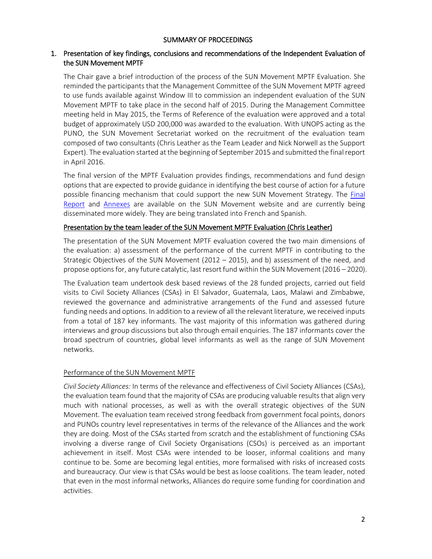#### SUMMARY OF PROCEEDINGS

## 1. Presentation of key findings, conclusions and recommendations of the Independent Evaluation of the SUN Movement MPTF

The Chair gave a brief introduction of the process of the SUN Movement MPTF Evaluation. She reminded the participants that the Management Committee of the SUN Movement MPTF agreed to use funds available against Window III to commission an independent evaluation of the SUN Movement MPTF to take place in the second half of 2015. During the Management Committee meeting held in May 2015, the Terms of Reference of the evaluation were approved and a total budget of approximately USD 200,000 was awarded to the evaluation. With UNOPS acting as the PUNO, the SUN Movement Secretariat worked on the recruitment of the evaluation team composed of two consultants (Chris Leather as the Team Leader and Nick Norwell as the Support Expert). The evaluation started at the beginning of September 2015 and submitted the final report in April 2016.

The final version of the MPTF Evaluation provides findings, recommendations and fund design options that are expected to provide guidance in identifying the best course of action for a future possible financing mechanism that could support the new SUN Movement Strategy. The [Final](http://scalingupnutrition.org/wp-content/uploads/2012/10/SUN-Movement-MPTF-Evaluation-Final-Report.pdf)  [Report](http://scalingupnutrition.org/wp-content/uploads/2012/10/SUN-Movement-MPTF-Evaluation-Final-Report.pdf) and [Annexes](http://scalingupnutrition.org/wp-content/uploads/2012/10/SUN-Movement-MPTF-Evaluation-Annex.pdf) are available on the SUN Movement website and are currently being disseminated more widely. They are being translated into French and Spanish.

## Presentation by the team leader of the SUN Movement MPTF Evaluation (Chris Leather)

The presentation of the SUN Movement MPTF evaluation covered the two main dimensions of the evaluation: a) assessment of the performance of the current MPTF in contributing to the Strategic Objectives of the SUN Movement (2012 – 2015), and b) assessment of the need, and propose options for, any future catalytic, last resort fund within the SUN Movement (2016 – 2020).

The Evaluation team undertook desk based reviews of the 28 funded projects, carried out field visits to Civil Society Alliances (CSAs) in El Salvador, Guatemala, Laos, Malawi and Zimbabwe, reviewed the governance and administrative arrangements of the Fund and assessed future funding needs and options. In addition to a review of all the relevant literature, we received inputs from a total of 187 key informants. The vast majority of this information was gathered during interviews and group discussions but also through email enquiries. The 187 informants cover the broad spectrum of countries, global level informants as well as the range of SUN Movement networks.

## Performance of the SUN Movement MPTF

*Civil Society Alliances:* In terms of the relevance and effectiveness of Civil Society Alliances (CSAs), the evaluation team found that the majority of CSAs are producing valuable results that align very much with national processes, as well as with the overall strategic objectives of the SUN Movement. The evaluation team received strong feedback from government focal points, donors and PUNOs country level representatives in terms of the relevance of the Alliances and the work they are doing. Most of the CSAs started from scratch and the establishment of functioning CSAs involving a diverse range of Civil Society Organisations (CSOs) is perceived as an important achievement in itself. Most CSAs were intended to be looser, informal coalitions and many continue to be. Some are becoming legal entities, more formalised with risks of increased costs and bureaucracy. Our view is that CSAs would be best as loose coalitions. The team leader, noted that even in the most informal networks, Alliances do require some funding for coordination and activities.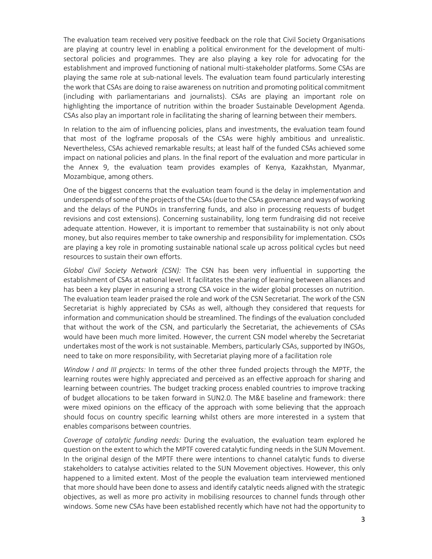The evaluation team received very positive feedback on the role that Civil Society Organisations are playing at country level in enabling a political environment for the development of multisectoral policies and programmes. They are also playing a key role for advocating for the establishment and improved functioning of national multi-stakeholder platforms. Some CSAs are playing the same role at sub-national levels. The evaluation team found particularly interesting the work that CSAs are doing to raise awareness on nutrition and promoting political commitment (including with parliamentarians and journalists). CSAs are playing an important role on highlighting the importance of nutrition within the broader Sustainable Development Agenda. CSAs also play an important role in facilitating the sharing of learning between their members.

In relation to the aim of influencing policies, plans and investments, the evaluation team found that most of the logframe proposals of the CSAs were highly ambitious and unrealistic. Nevertheless, CSAs achieved remarkable results; at least half of the funded CSAs achieved some impact on national policies and plans. In the final report of the evaluation and more particular in the Annex 9, the evaluation team provides examples of Kenya, Kazakhstan, Myanmar, Mozambique, among others.

One of the biggest concerns that the evaluation team found is the delay in implementation and underspends of some of the projects of the CSAs (due to the CSAs governance and ways of working and the delays of the PUNOs in transferring funds, and also in processing requests of budget revisions and cost extensions). Concerning sustainability, long term fundraising did not receive adequate attention. However, it is important to remember that sustainability is not only about money, but also requires member to take ownership and responsibility for implementation. CSOs are playing a key role in promoting sustainable national scale up across political cycles but need resources to sustain their own efforts.

*Global Civil Society Network (CSN):* The CSN has been very influential in supporting the establishment of CSAs at national level. It facilitates the sharing of learning between alliances and has been a key player in ensuring a strong CSA voice in the wider global processes on nutrition. The evaluation team leader praised the role and work of the CSN Secretariat. The work of the CSN Secretariat is highly appreciated by CSAs as well, although they considered that requests for information and communication should be streamlined. The findings of the evaluation concluded that without the work of the CSN, and particularly the Secretariat, the achievements of CSAs would have been much more limited. However, the current CSN model whereby the Secretariat undertakes most of the work is not sustainable. Members, particularly CSAs, supported by INGOs, need to take on more responsibility, with Secretariat playing more of a facilitation role

*Window I and III projects:* In terms of the other three funded projects through the MPTF, the learning routes were highly appreciated and perceived as an effective approach for sharing and learning between countries. The budget tracking process enabled countries to improve tracking of budget allocations to be taken forward in SUN2.0. The M&E baseline and framework: there were mixed opinions on the efficacy of the approach with some believing that the approach should focus on country specific learning whilst others are more interested in a system that enables comparisons between countries.

*Coverage of catalytic funding needs:* During the evaluation, the evaluation team explored he question on the extent to which the MPTF covered catalytic funding needs in the SUN Movement. In the original design of the MPTF there were intentions to channel catalytic funds to diverse stakeholders to catalyse activities related to the SUN Movement objectives. However, this only happened to a limited extent. Most of the people the evaluation team interviewed mentioned that more should have been done to assess and identify catalytic needs aligned with the strategic objectives, as well as more pro activity in mobilising resources to channel funds through other windows. Some new CSAs have been established recently which have not had the opportunity to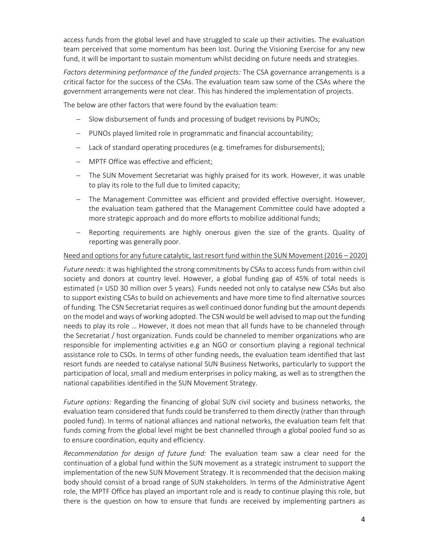access funds from the global level and have struggled to scale up their activities. The evaluation team perceived that some momentum has been lost. During the Visioning Exercise for any new fund, it will be important to sustain momentum whilst deciding on future needs and strategies.

*Factors determining performance of the funded projects:* The CSA governance arrangements is a critical factor for the success of the CSAs. The evaluation team saw some of the CSAs where the government arrangements were not clear. This has hindered the implementation of projects.

The below are other factors that were found by the evaluation team:

- Slow disbursement of funds and processing of budget revisions by PUNOs;
- PUNOs played limited role in programmatic and financial accountability;
- Lack of standard operating procedures (e.g. timeframes for disbursements);
- MPTF Office was effective and efficient;
- The SUN Movement Secretariat was highly praised for its work. However, it was unable to play its role to the full due to limited capacity;
- The Management Committee was efficient and provided effective oversight. However, the evaluation team gathered that the Management Committee could have adopted a more strategic approach and do more efforts to mobilize additional funds;
- Reporting requirements are highly onerous given the size of the grants. Quality of reporting was generally poor.

#### Need and options for any future catalytic, last resort fund within the SUN Movement (2016 – 2020)

*Future needs:* it was highlighted the strong commitments by CSAs to access funds from within civil society and donors at country level. However, a global funding gap of 45% of total needs is estimated (= USD 30 million over 5 years). Funds needed not only to catalyse new CSAs but also to support existing CSAs to build on achievements and have more time to find alternative sources of funding. The CSN Secretariat requires as well continued donor funding but the amount depends on the model and ways of working adopted. The CSN would be well advised to map out the funding needs to play its role … However, it does not mean that all funds have to be channeled through the Secretariat / host organization. Funds could be channeled to member organizations who are responsible for implementing activities e.g an NGO or consortium playing a regional technical assistance role to CSOs. In terms of other funding needs, the evaluation team identified that last resort funds are needed to catalyse national SUN Business Networks, particularly to support the participation of local, small and medium enterprises in policy making, as well as to strengthen the national capabilities identified in the SUN Movement Strategy.

*Future options:* Regarding the financing of global SUN civil society and business networks, the evaluation team considered that funds could be transferred to them directly (rather than through pooled fund). In terms of national alliances and national networks, the evaluation team felt that funds coming from the global level might be best channelled through a global pooled fund so as to ensure coordination, equity and efficiency.

*Recommendation for design of future fund:* The evaluation team saw a clear need for the continuation of a global fund within the SUN movement as a strategic instrument to support the implementation of the new SUN Movement Strategy. It is recommended that the decision making body should consist of a broad range of SUN stakeholders. In terms of the Administrative Agent role, the MPTF Office has played an important role and is ready to continue playing this role, but there is the question on how to ensure that funds are received by implementing partners as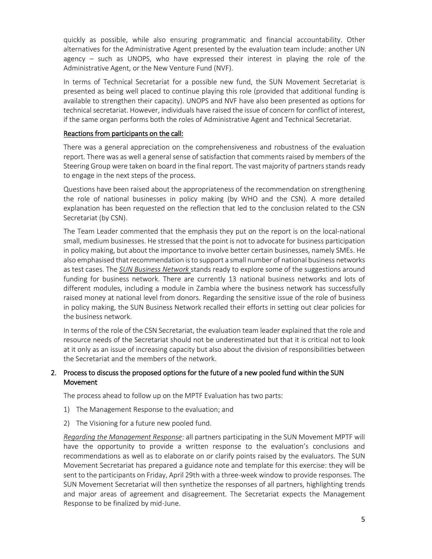quickly as possible, while also ensuring programmatic and financial accountability. Other alternatives for the Administrative Agent presented by the evaluation team include: another UN agency – such as UNOPS, who have expressed their interest in playing the role of the Administrative Agent, or the New Venture Fund (NVF).

In terms of Technical Secretariat for a possible new fund, the SUN Movement Secretariat is presented as being well placed to continue playing this role (provided that additional funding is available to strengthen their capacity). UNOPS and NVF have also been presented as options for technical secretariat. However, individuals have raised the issue of concern for conflict of interest, if the same organ performs both the roles of Administrative Agent and Technical Secretariat.

## Reactions from participants on the call:

There was a general appreciation on the comprehensiveness and robustness of the evaluation report. There was as well a general sense of satisfaction that comments raised by members of the Steering Group were taken on board in the final report. The vast majority of partners stands ready to engage in the next steps of the process.

Questions have been raised about the appropriateness of the recommendation on strengthening the role of national businesses in policy making (by WHO and the CSN). A more detailed explanation has been requested on the reflection that led to the conclusion related to the CSN Secretariat (by CSN).

The Team Leader commented that the emphasis they put on the report is on the local-national small, medium businesses. He stressed that the point is not to advocate for business participation in policy making, but about the importance to involve better certain businesses, namely SMEs. He also emphasised that recommendation is to support a small number of national business networks as test cases. The *SUN Business Network* stands ready to explore some of the suggestions around funding for business network. There are currently 13 national business networks and lots of different modules, including a module in Zambia where the business network has successfully raised money at national level from donors. Regarding the sensitive issue of the role of business in policy making, the SUN Business Network recalled their efforts in setting out clear policies for the business network.

In terms of the role of the CSN Secretariat, the evaluation team leader explained that the role and resource needs of the Secretariat should not be underestimated but that it is critical not to look at it only as an issue of increasing capacity but also about the division of responsibilities between the Secretariat and the members of the network.

# 2. Process to discuss the proposed options for the future of a new pooled fund within the SUN Movement

The process ahead to follow up on the MPTF Evaluation has two parts:

- 1) The Management Response to the evaluation; and
- 2) The Visioning for a future new pooled fund.

*Regarding the Management Response*: all partners participating in the SUN Movement MPTF will have the opportunity to provide a written response to the evaluation's conclusions and recommendations as well as to elaborate on or clarify points raised by the evaluators. The SUN Movement Secretariat has prepared a guidance note and template for this exercise: they will be sent to the participants on Friday, April 29th with a three-week window to provide responses. The SUN Movement Secretariat will then synthetize the responses of all partners, highlighting trends and major areas of agreement and disagreement. The Secretariat expects the Management Response to be finalized by mid-June.